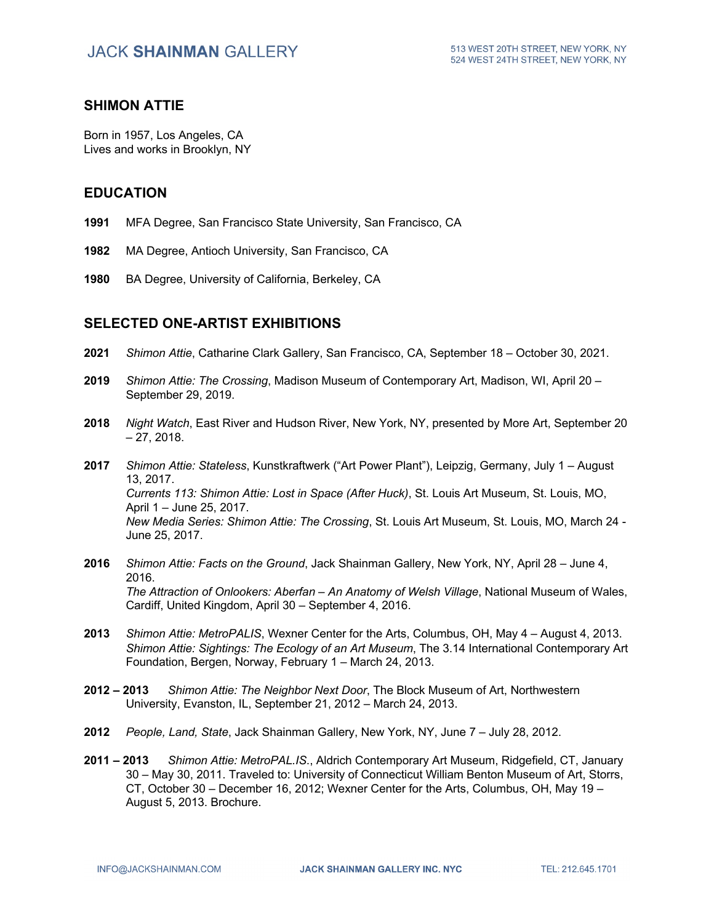#### **SHIMON ATTIE**

Born in 1957, Los Angeles, CA Lives and works in Brooklyn, NY

#### **EDUCATION**

- **1991** MFA Degree, San Francisco State University, San Francisco, CA
- **1982** MA Degree, Antioch University, San Francisco, CA
- **1980** BA Degree, University of California, Berkeley, CA

#### **SELECTED ONE-ARTIST EXHIBITIONS**

- **2021** *Shimon Attie*, Catharine Clark Gallery, San Francisco, CA, September 18 October 30, 2021.
- **2019** *Shimon Attie: The Crossing*, Madison Museum of Contemporary Art, Madison, WI, April 20 September 29, 2019.
- **2018** *Night Watch*, East River and Hudson River, New York, NY, presented by More Art, September 20  $-27.2018.$
- **2017** *Shimon Attie: Stateless*, Kunstkraftwerk ("Art Power Plant"), Leipzig, Germany, July 1 August 13, 2017. *Currents 113: Shimon Attie: Lost in Space (After Huck)*, St. Louis Art Museum, St. Louis, MO, April 1 – June 25, 2017. *New Media Series: Shimon Attie: The Crossing*, St. Louis Art Museum, St. Louis, MO, March 24 - June 25, 2017.
- **2016** *Shimon Attie: Facts on the Ground*, Jack Shainman Gallery, New York, NY, April 28 June 4, 2016. *The Attraction of Onlookers: Aberfan – An Anatomy of Welsh Village*, National Museum of Wales, Cardiff, United Kingdom, April 30 – September 4, 2016.
- **2013** *Shimon Attie: MetroPALIS*, Wexner Center for the Arts, Columbus, OH, May 4 August 4, 2013. *Shimon Attie: Sightings: The Ecology of an Art Museum*, The 3.14 International Contemporary Art Foundation, Bergen, Norway, February 1 – March 24, 2013.
- **2012 – 2013** *Shimon Attie: The Neighbor Next Door*, The Block Museum of Art, Northwestern University, Evanston, IL, September 21, 2012 – March 24, 2013.
- **2012** *People, Land, State*, Jack Shainman Gallery, New York, NY, June 7 July 28, 2012.
- **2011 – 2013** *Shimon Attie: MetroPAL.IS*., Aldrich Contemporary Art Museum, Ridgefield, CT, January 30 – May 30, 2011. Traveled to: University of Connecticut William Benton Museum of Art, Storrs, CT, October 30 – December 16, 2012; Wexner Center for the Arts, Columbus, OH, May 19 – August 5, 2013. Brochure.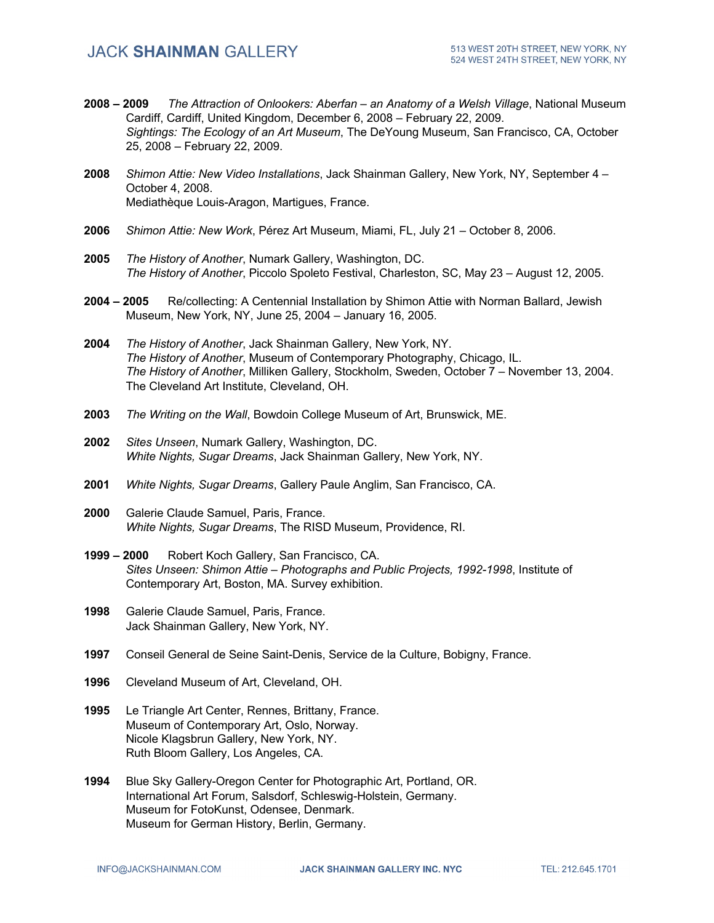- **2008 – 2009** *The Attraction of Onlookers: Aberfan – an Anatomy of a Welsh Village*, National Museum Cardiff, Cardiff, United Kingdom, December 6, 2008 – February 22, 2009. *Sightings: The Ecology of an Art Museum*, The DeYoung Museum, San Francisco, CA, October 25, 2008 – February 22, 2009.
- **2008** *Shimon Attie: New Video Installations*, Jack Shainman Gallery, New York, NY, September 4 October 4, 2008. Mediathèque Louis-Aragon, Martigues, France.
- **2006** *Shimon Attie: New Work*, Pérez Art Museum, Miami, FL, July 21 October 8, 2006.
- **2005** *The History of Another*, Numark Gallery, Washington, DC. *The History of Another*, Piccolo Spoleto Festival, Charleston, SC, May 23 – August 12, 2005.
- **2004 – 2005** Re/collecting: A Centennial Installation by Shimon Attie with Norman Ballard, Jewish Museum, New York, NY, June 25, 2004 – January 16, 2005.
- **2004** *The History of Another*, Jack Shainman Gallery, New York, NY. *The History of Another*, Museum of Contemporary Photography, Chicago, IL. *The History of Another*, Milliken Gallery, Stockholm, Sweden, October 7 – November 13, 2004. The Cleveland Art Institute, Cleveland, OH.
- **2003** *The Writing on the Wall*, Bowdoin College Museum of Art, Brunswick, ME.
- **2002** *Sites Unseen*, Numark Gallery, Washington, DC. *White Nights, Sugar Dreams*, Jack Shainman Gallery, New York, NY.
- **2001** *White Nights, Sugar Dreams*, Gallery Paule Anglim, San Francisco, CA.
- **2000** Galerie Claude Samuel, Paris, France. *White Nights, Sugar Dreams*, The RISD Museum, Providence, RI.
- **1999 – 2000** Robert Koch Gallery, San Francisco, CA. *Sites Unseen: Shimon Attie – Photographs and Public Projects, 1992-1998*, Institute of Contemporary Art, Boston, MA. Survey exhibition.
- **1998** Galerie Claude Samuel, Paris, France. Jack Shainman Gallery, New York, NY.
- **1997** Conseil General de Seine Saint-Denis, Service de la Culture, Bobigny, France.
- **1996** Cleveland Museum of Art, Cleveland, OH.
- **1995** Le Triangle Art Center, Rennes, Brittany, France. Museum of Contemporary Art, Oslo, Norway. Nicole Klagsbrun Gallery, New York, NY. Ruth Bloom Gallery, Los Angeles, CA.
- **1994** Blue Sky Gallery-Oregon Center for Photographic Art, Portland, OR. International Art Forum, Salsdorf, Schleswig-Holstein, Germany. Museum for FotoKunst, Odensee, Denmark. Museum for German History, Berlin, Germany.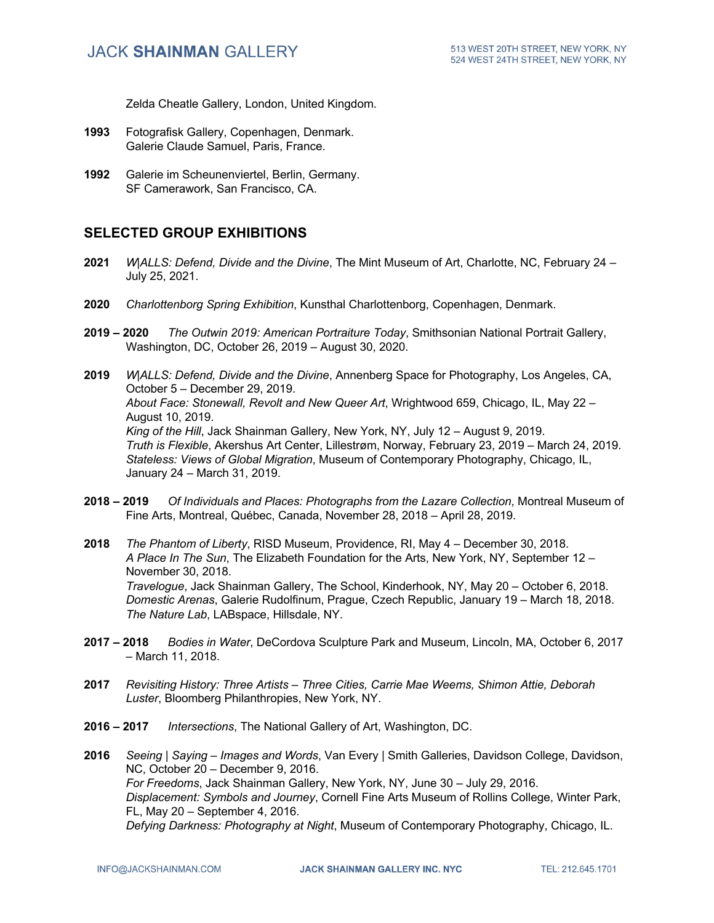Zelda Cheatle Gallery, London, United Kingdom.

- **1993** Fotografisk Gallery, Copenhagen, Denmark. Galerie Claude Samuel, Paris, France.
- **1992** Galerie im Scheunenviertel, Berlin, Germany. SF Camerawork, San Francisco, CA.

## **SELECTED GROUP EXHIBITIONS**

- **2021** *W|ALLS: Defend, Divide and the Divine*, The Mint Museum of Art, Charlotte, NC, February 24 July 25, 2021.
- **2020** *Charlottenborg Spring Exhibition*, Kunsthal Charlottenborg, Copenhagen, Denmark.
- **2019 – 2020** *The Outwin 2019: American Portraiture Today*, Smithsonian National Portrait Gallery, Washington, DC, October 26, 2019 – August 30, 2020.
- **2019** *W|ALLS: Defend, Divide and the Divine*, Annenberg Space for Photography, Los Angeles, CA, October 5 – December 29, 2019. *About Face: Stonewall, Revolt and New Queer Art*, Wrightwood 659, Chicago, IL, May 22 – August 10, 2019. *King of the Hill*, Jack Shainman Gallery, New York, NY, July 12 – August 9, 2019. *Truth is Flexible*, Akershus Art Center, Lillestrøm, Norway, February 23, 2019 – March 24, 2019. *Stateless: Views of Global Migration*, Museum of Contemporary Photography, Chicago, IL, January 24 – March 31, 2019.
- **2018 – 2019** *Of Individuals and Places: Photographs from the Lazare Collection*, Montreal Museum of Fine Arts, Montreal, Québec, Canada, November 28, 2018 – April 28, 2019.
- **2018** *The Phantom of Liberty*, RISD Museum, Providence, RI, May 4 December 30, 2018. *A Place In The Sun*, The Elizabeth Foundation for the Arts, New York, NY, September 12 – November 30, 2018. *Travelogue*, Jack Shainman Gallery, The School, Kinderhook, NY, May 20 – October 6, 2018. *Domestic Arenas*, Galerie Rudolfinum, Prague, Czech Republic, January 19 – March 18, 2018. *The Nature Lab*, LABspace, Hillsdale, NY.
- **2017 – 2018** *Bodies in Water*, DeCordova Sculpture Park and Museum, Lincoln, MA, October 6, 2017 – March 11, 2018.
- **2017** *Revisiting History: Three Artists – Three Cities, Carrie Mae Weems, Shimon Attie, Deborah Luster*, Bloomberg Philanthropies, New York, NY.
- **2016 – 2017** *Intersections*, The National Gallery of Art, Washington, DC.
- **2016** *Seeing | Saying – Images and Words*, Van Every | Smith Galleries, Davidson College, Davidson, NC, October 20 – December 9, 2016. *For Freedoms*, Jack Shainman Gallery, New York, NY, June 30 – July 29, 2016. *Displacement: Symbols and Journey*, Cornell Fine Arts Museum of Rollins College, Winter Park, FL, May 20 – September 4, 2016. *Defying Darkness: Photography at Night*, Museum of Contemporary Photography, Chicago, IL.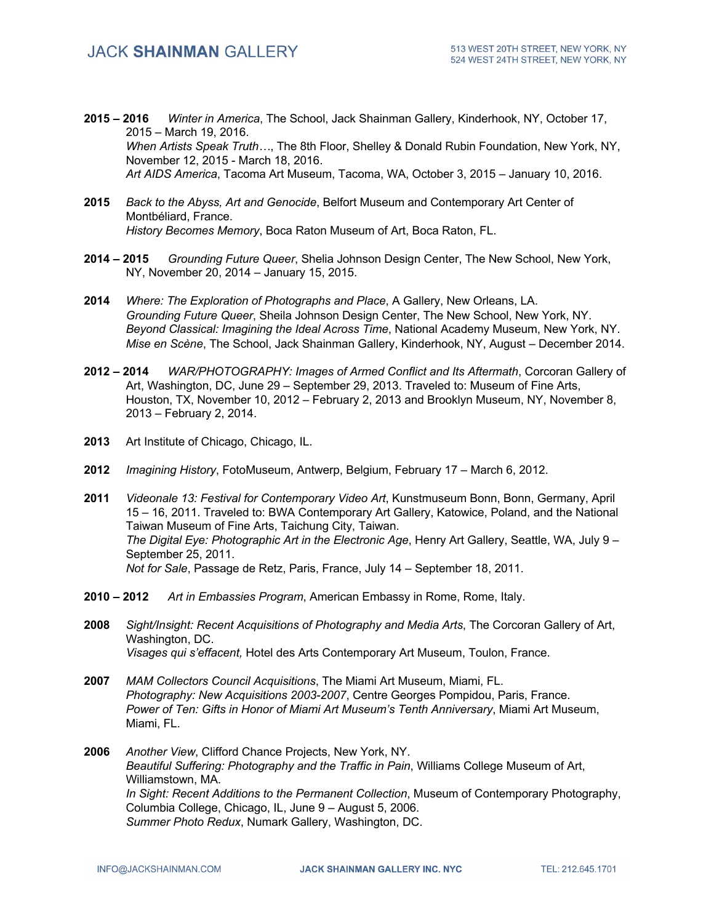- **2015 – 2016** *Winter in America*, The School, Jack Shainman Gallery, Kinderhook, NY, October 17, 2015 – March 19, 2016. *When Artists Speak Truth…*, The 8th Floor, Shelley & Donald Rubin Foundation, New York, NY, November 12, 2015 - March 18, 2016. *Art AIDS America*, Tacoma Art Museum, Tacoma, WA, October 3, 2015 – January 10, 2016.
- **2015** *Back to the Abyss, Art and Genocide*, Belfort Museum and Contemporary Art Center of Montbéliard, France. *History Becomes Memory*, Boca Raton Museum of Art, Boca Raton, FL.
- **2014 – 2015** *Grounding Future Queer*, Shelia Johnson Design Center, The New School, New York, NY, November 20, 2014 – January 15, 2015.
- **2014** *Where: The Exploration of Photographs and Place*, A Gallery, New Orleans, LA. *Grounding Future Queer*, Sheila Johnson Design Center, The New School, New York, NY. *Beyond Classical: Imagining the Ideal Across Time*, National Academy Museum, New York, NY. *Mise en Scène*, The School, Jack Shainman Gallery, Kinderhook, NY, August – December 2014.
- **2012 – 2014** *WAR/PHOTOGRAPHY: Images of Armed Conflict and Its Aftermath*, Corcoran Gallery of Art, Washington, DC, June 29 – September 29, 2013. Traveled to: Museum of Fine Arts, Houston, TX, November 10, 2012 – February 2, 2013 and Brooklyn Museum, NY, November 8, 2013 – February 2, 2014.
- **2013** Art Institute of Chicago, Chicago, IL.
- **2012** *Imagining History*, FotoMuseum, Antwerp, Belgium, February 17 March 6, 2012.
- **2011** *Videonale 13: Festival for Contemporary Video Art*, Kunstmuseum Bonn, Bonn, Germany, April 15 – 16, 2011. Traveled to: BWA Contemporary Art Gallery, Katowice, Poland, and the National Taiwan Museum of Fine Arts, Taichung City, Taiwan. *The Digital Eye: Photographic Art in the Electronic Age*, Henry Art Gallery, Seattle, WA, July 9 – September 25, 2011. *Not for Sale*, Passage de Retz, Paris, France, July 14 – September 18, 2011.
- **2010 – 2012** *Art in Embassies Program*, American Embassy in Rome, Rome, Italy.
- **2008** *Sight/Insight: Recent Acquisitions of Photography and Media Arts*, The Corcoran Gallery of Art, Washington, DC. *Visages qui s'effacent,* Hotel des Arts Contemporary Art Museum, Toulon, France.
- **2007** *MAM Collectors Council Acquisitions*, The Miami Art Museum, Miami, FL. *Photography: New Acquisitions 2003-2007*, Centre Georges Pompidou, Paris, France. *Power of Ten: Gifts in Honor of Miami Art Museum's Tenth Anniversary*, Miami Art Museum, Miami, FL.
- **2006** *Another View*, Clifford Chance Projects, New York, NY. *Beautiful Suffering: Photography and the Traffic in Pain*, Williams College Museum of Art, Williamstown, MA. *In Sight: Recent Additions to the Permanent Collection*, Museum of Contemporary Photography, Columbia College, Chicago, IL, June 9 – August 5, 2006. *Summer Photo Redux*, Numark Gallery, Washington, DC.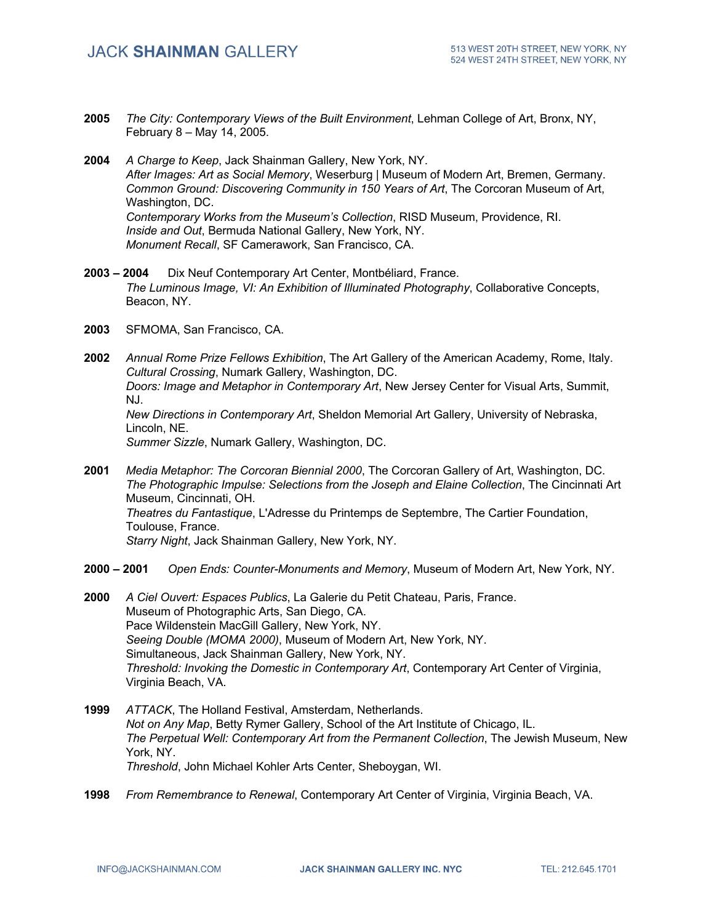- **2005** *The City: Contemporary Views of the Built Environment*, Lehman College of Art, Bronx, NY, February 8 – May 14, 2005.
- **2004** *A Charge to Keep*, Jack Shainman Gallery, New York, NY. *After Images: Art as Social Memory*, Weserburg | Museum of Modern Art, Bremen, Germany. *Common Ground: Discovering Community in 150 Years of Art*, The Corcoran Museum of Art, Washington, DC. *Contemporary Works from the Museum's Collection*, RISD Museum, Providence, RI. *Inside and Out*, Bermuda National Gallery, New York, NY. *Monument Recall*, SF Camerawork, San Francisco, CA.
- **2003 – 2004** Dix Neuf Contemporary Art Center, Montbéliard, France. *The Luminous Image, VI: An Exhibition of Illuminated Photography*, Collaborative Concepts, Beacon, NY.
- **2003** SFMOMA, San Francisco, CA.
- **2002** *Annual Rome Prize Fellows Exhibition*, The Art Gallery of the American Academy, Rome, Italy. *Cultural Crossing*, Numark Gallery, Washington, DC. *Doors: Image and Metaphor in Contemporary Art*, New Jersey Center for Visual Arts, Summit, NJ. *New Directions in Contemporary Art*, Sheldon Memorial Art Gallery, University of Nebraska, Lincoln, NE. *Summer Sizzle*, Numark Gallery, Washington, DC.
- **2001** *Media Metaphor: The Corcoran Biennial 2000*, The Corcoran Gallery of Art, Washington, DC. *The Photographic Impulse: Selections from the Joseph and Elaine Collection*, The Cincinnati Art Museum, Cincinnati, OH. *Theatres du Fantastique*, L'Adresse du Printemps de Septembre, The Cartier Foundation, Toulouse, France. *Starry Night*, Jack Shainman Gallery, New York, NY.
- **2000 – 2001** *Open Ends: Counter-Monuments and Memory*, Museum of Modern Art, New York, NY.
- **2000** *A Ciel Ouvert: Espaces Publics*, La Galerie du Petit Chateau, Paris, France. Museum of Photographic Arts, San Diego, CA. Pace Wildenstein MacGill Gallery, New York, NY. *Seeing Double (MOMA 2000)*, Museum of Modern Art, New York, NY. Simultaneous, Jack Shainman Gallery, New York, NY. *Threshold: Invoking the Domestic in Contemporary Art*, Contemporary Art Center of Virginia, Virginia Beach, VA.
- **1999** *ATTACK*, The Holland Festival, Amsterdam, Netherlands. *Not on Any Map*, Betty Rymer Gallery, School of the Art Institute of Chicago, IL. *The Perpetual Well: Contemporary Art from the Permanent Collection*, The Jewish Museum, New York, NY. *Threshold*, John Michael Kohler Arts Center, Sheboygan, WI.
- **1998** *From Remembrance to Renewal*, Contemporary Art Center of Virginia, Virginia Beach, VA.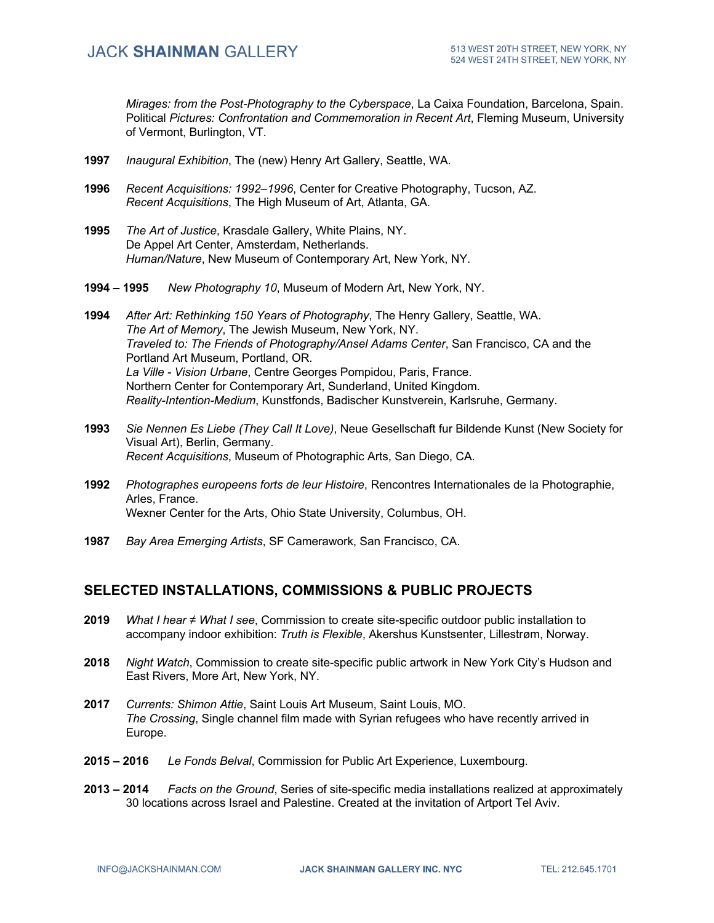*Mirages: from the Post-Photography to the Cyberspace*, La Caixa Foundation, Barcelona, Spain. Political *Pictures: Confrontation and Commemoration in Recent Art*, Fleming Museum, University of Vermont, Burlington, VT.

- **1997** *Inaugural Exhibition*, The (new) Henry Art Gallery, Seattle, WA.
- **1996** *Recent Acquisitions: 1992–1996*, Center for Creative Photography, Tucson, AZ. *Recent Acquisitions*, The High Museum of Art, Atlanta, GA.
- **1995** *The Art of Justice*, Krasdale Gallery, White Plains, NY. De Appel Art Center, Amsterdam, Netherlands. *Human/Nature*, New Museum of Contemporary Art, New York, NY.
- **1994 – 1995** *New Photography 10*, Museum of Modern Art, New York, NY.
- **1994** *After Art: Rethinking 150 Years of Photography*, The Henry Gallery, Seattle, WA. *The Art of Memory*, The Jewish Museum, New York, NY. *Traveled to: The Friends of Photography/Ansel Adams Center*, San Francisco, CA and the Portland Art Museum, Portland, OR. *La Ville - Vision Urbane*, Centre Georges Pompidou, Paris, France. Northern Center for Contemporary Art, Sunderland, United Kingdom. *Reality-Intention-Medium*, Kunstfonds, Badischer Kunstverein, Karlsruhe, Germany.
- **1993** *Sie Nennen Es Liebe (They Call It Love)*, Neue Gesellschaft fur Bildende Kunst (New Society for Visual Art), Berlin, Germany. *Recent Acquisitions*, Museum of Photographic Arts, San Diego, CA.
- **1992** *Photographes europeens forts de leur Histoire*, Rencontres Internationales de la Photographie, Arles, France. Wexner Center for the Arts, Ohio State University, Columbus, OH.
- **1987** *Bay Area Emerging Artists*, SF Camerawork, San Francisco, CA.

### **SELECTED INSTALLATIONS, COMMISSIONS & PUBLIC PROJECTS**

- **2019** *What I hear ≠ What I see*, Commission to create site-specific outdoor public installation to accompany indoor exhibition: *Truth is Flexible*, Akershus Kunstsenter, Lillestrøm, Norway.
- **2018** *Night Watch*, Commission to create site-specific public artwork in New York City's Hudson and East Rivers, More Art, New York, NY.
- **2017** *Currents: Shimon Attie*, Saint Louis Art Museum, Saint Louis, MO. *The Crossing*, Single channel film made with Syrian refugees who have recently arrived in Europe.
- **2015 – 2016** *Le Fonds Belval*, Commission for Public Art Experience, Luxembourg.
- **2013 – 2014** *Facts on the Ground*, Series of site-specific media installations realized at approximately 30 locations across Israel and Palestine. Created at the invitation of Artport Tel Aviv.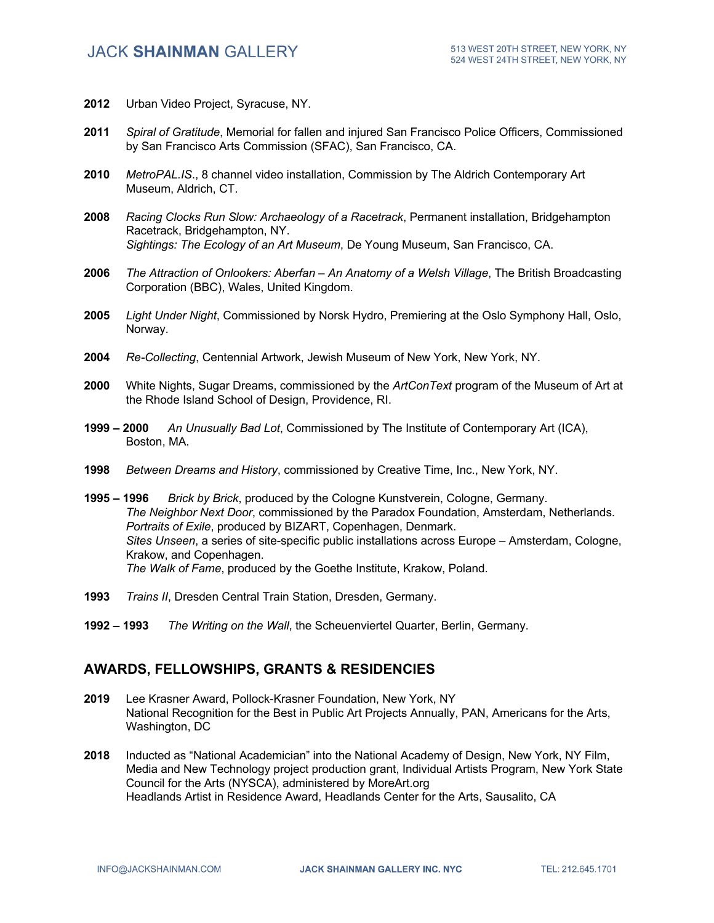- **2012** Urban Video Project, Syracuse, NY.
- **2011** *Spiral of Gratitude*, Memorial for fallen and injured San Francisco Police Officers, Commissioned by San Francisco Arts Commission (SFAC), San Francisco, CA.
- **2010** *MetroPAL.IS*., 8 channel video installation, Commission by The Aldrich Contemporary Art Museum, Aldrich, CT.
- **2008** *Racing Clocks Run Slow: Archaeology of a Racetrack*, Permanent installation, Bridgehampton Racetrack, Bridgehampton, NY. *Sightings: The Ecology of an Art Museum*, De Young Museum, San Francisco, CA.
- **2006** *The Attraction of Onlookers: Aberfan – An Anatomy of a Welsh Village*, The British Broadcasting Corporation (BBC), Wales, United Kingdom.
- **2005** *Light Under Night*, Commissioned by Norsk Hydro, Premiering at the Oslo Symphony Hall, Oslo, Norway.
- **2004** *Re-Collecting*, Centennial Artwork, Jewish Museum of New York, New York, NY.
- **2000** White Nights, Sugar Dreams, commissioned by the *ArtConText* program of the Museum of Art at the Rhode Island School of Design, Providence, RI.
- **1999 – 2000** *An Unusually Bad Lot*, Commissioned by The Institute of Contemporary Art (ICA), Boston, MA.
- **1998** *Between Dreams and History*, commissioned by Creative Time, Inc., New York, NY.
- **1995 – 1996** *Brick by Brick*, produced by the Cologne Kunstverein, Cologne, Germany. *The Neighbor Next Door*, commissioned by the Paradox Foundation, Amsterdam, Netherlands. *Portraits of Exile*, produced by BIZART, Copenhagen, Denmark. *Sites Unseen*, a series of site-specific public installations across Europe – Amsterdam, Cologne, Krakow, and Copenhagen. *The Walk of Fame*, produced by the Goethe Institute, Krakow, Poland.
- **1993** *Trains II*, Dresden Central Train Station, Dresden, Germany.
- **1992 – 1993** *The Writing on the Wall*, the Scheuenviertel Quarter, Berlin, Germany.

#### **AWARDS, FELLOWSHIPS, GRANTS & RESIDENCIES**

- **2019** Lee Krasner Award, Pollock-Krasner Foundation, New York, NY National Recognition for the Best in Public Art Projects Annually, PAN, Americans for the Arts, Washington, DC
- **2018** Inducted as "National Academician" into the National Academy of Design, New York, NY Film, Media and New Technology project production grant, Individual Artists Program, New York State Council for the Arts (NYSCA), administered by MoreArt.org Headlands Artist in Residence Award, Headlands Center for the Arts, Sausalito, CA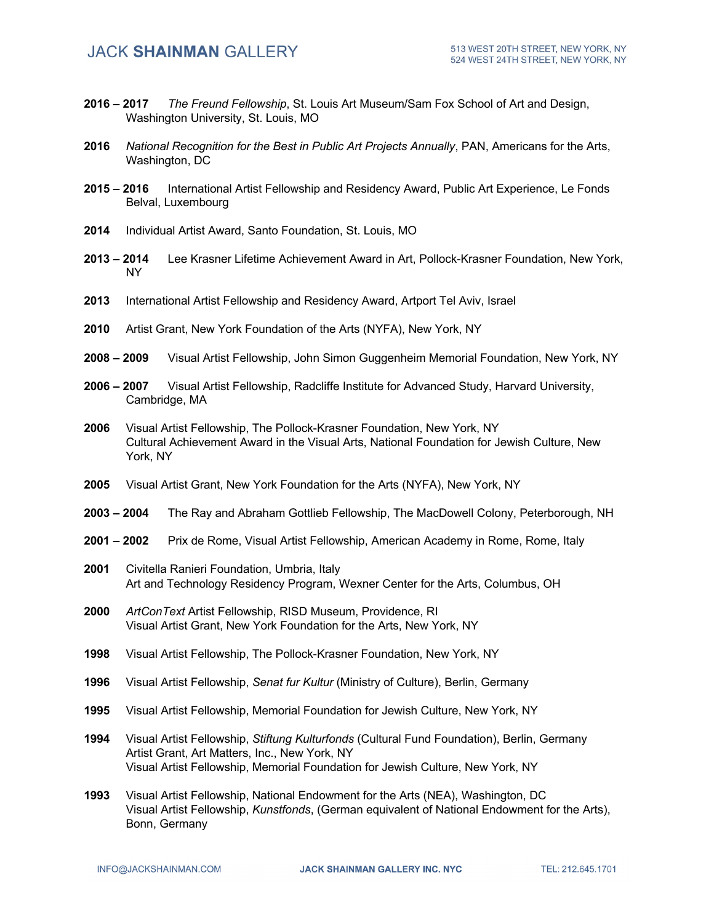- **2016 – 2017** *The Freund Fellowship*, St. Louis Art Museum/Sam Fox School of Art and Design, Washington University, St. Louis, MO
- **2016** *National Recognition for the Best in Public Art Projects Annually*, PAN, Americans for the Arts, Washington, DC
- **2015 – 2016** International Artist Fellowship and Residency Award, Public Art Experience, Le Fonds Belval, Luxembourg
- **2014** Individual Artist Award, Santo Foundation, St. Louis, MO
- **2013 – 2014** Lee Krasner Lifetime Achievement Award in Art, Pollock-Krasner Foundation, New York, NY
- **2013** International Artist Fellowship and Residency Award, Artport Tel Aviv, Israel
- **2010** Artist Grant, New York Foundation of the Arts (NYFA), New York, NY
- **2008 – 2009** Visual Artist Fellowship, John Simon Guggenheim Memorial Foundation, New York, NY
- **2006 – 2007** Visual Artist Fellowship, Radcliffe Institute for Advanced Study, Harvard University, Cambridge, MA
- **2006** Visual Artist Fellowship, The Pollock-Krasner Foundation, New York, NY Cultural Achievement Award in the Visual Arts, National Foundation for Jewish Culture, New York, NY
- **2005** Visual Artist Grant, New York Foundation for the Arts (NYFA), New York, NY
- **2003 – 2004** The Ray and Abraham Gottlieb Fellowship, The MacDowell Colony, Peterborough, NH
- **2001 – 2002** Prix de Rome, Visual Artist Fellowship, American Academy in Rome, Rome, Italy
- **2001** Civitella Ranieri Foundation, Umbria, Italy Art and Technology Residency Program, Wexner Center for the Arts, Columbus, OH
- **2000** *ArtConText* Artist Fellowship, RISD Museum, Providence, RI Visual Artist Grant, New York Foundation for the Arts, New York, NY
- **1998** Visual Artist Fellowship, The Pollock-Krasner Foundation, New York, NY
- **1996** Visual Artist Fellowship, *Senat fur Kultur* (Ministry of Culture), Berlin, Germany
- **1995** Visual Artist Fellowship, Memorial Foundation for Jewish Culture, New York, NY
- **1994** Visual Artist Fellowship, *Stiftung Kulturfonds* (Cultural Fund Foundation), Berlin, Germany Artist Grant, Art Matters, Inc., New York, NY Visual Artist Fellowship, Memorial Foundation for Jewish Culture, New York, NY
- **1993** Visual Artist Fellowship, National Endowment for the Arts (NEA), Washington, DC Visual Artist Fellowship, *Kunstfonds*, (German equivalent of National Endowment for the Arts), Bonn, Germany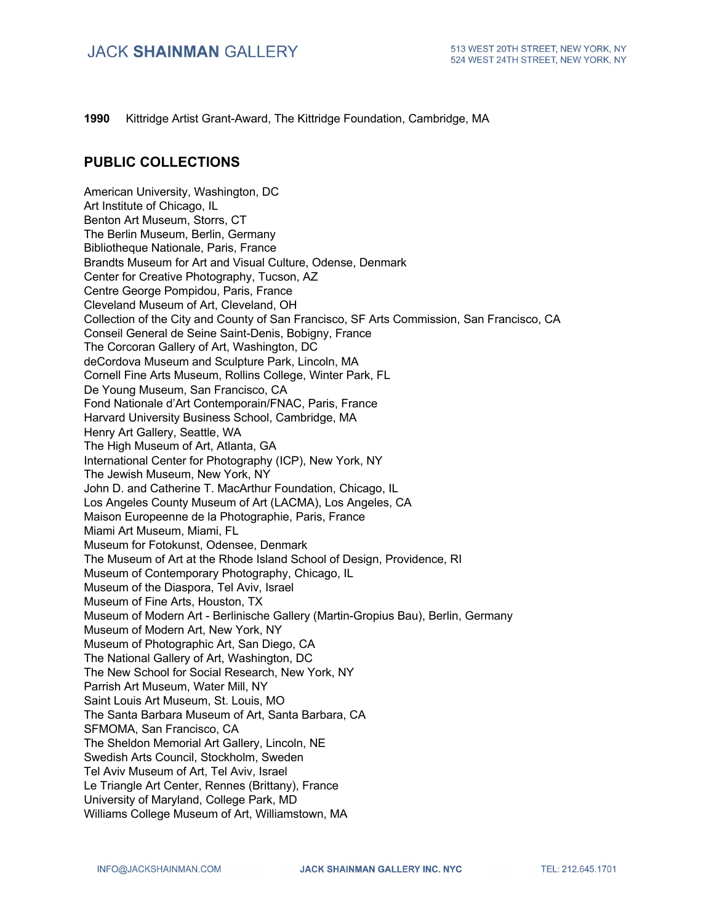**1990** Kittridge Artist Grant-Award, The Kittridge Foundation, Cambridge, MA

#### **PUBLIC COLLECTIONS**

American University, Washington, DC Art Institute of Chicago, IL Benton Art Museum, Storrs, CT The Berlin Museum, Berlin, Germany Bibliotheque Nationale, Paris, France Brandts Museum for Art and Visual Culture, Odense, Denmark Center for Creative Photography, Tucson, AZ Centre George Pompidou, Paris, France Cleveland Museum of Art, Cleveland, OH Collection of the City and County of San Francisco, SF Arts Commission, San Francisco, CA Conseil General de Seine Saint-Denis, Bobigny, France The Corcoran Gallery of Art, Washington, DC deCordova Museum and Sculpture Park, Lincoln, MA Cornell Fine Arts Museum, Rollins College, Winter Park, FL De Young Museum, San Francisco, CA Fond Nationale d'Art Contemporain/FNAC, Paris, France Harvard University Business School, Cambridge, MA Henry Art Gallery, Seattle, WA The High Museum of Art, Atlanta, GA International Center for Photography (ICP), New York, NY The Jewish Museum, New York, NY John D. and Catherine T. MacArthur Foundation, Chicago, IL Los Angeles County Museum of Art (LACMA), Los Angeles, CA Maison Europeenne de la Photographie, Paris, France Miami Art Museum, Miami, FL Museum for Fotokunst, Odensee, Denmark The Museum of Art at the Rhode Island School of Design, Providence, RI Museum of Contemporary Photography, Chicago, IL Museum of the Diaspora, Tel Aviv, Israel Museum of Fine Arts, Houston, TX Museum of Modern Art - Berlinische Gallery (Martin-Gropius Bau), Berlin, Germany Museum of Modern Art, New York, NY Museum of Photographic Art, San Diego, CA The National Gallery of Art, Washington, DC The New School for Social Research, New York, NY Parrish Art Museum, Water Mill, NY Saint Louis Art Museum, St. Louis, MO The Santa Barbara Museum of Art, Santa Barbara, CA SFMOMA, San Francisco, CA The Sheldon Memorial Art Gallery, Lincoln, NE Swedish Arts Council, Stockholm, Sweden Tel Aviv Museum of Art, Tel Aviv, Israel Le Triangle Art Center, Rennes (Brittany), France University of Maryland, College Park, MD Williams College Museum of Art, Williamstown, MA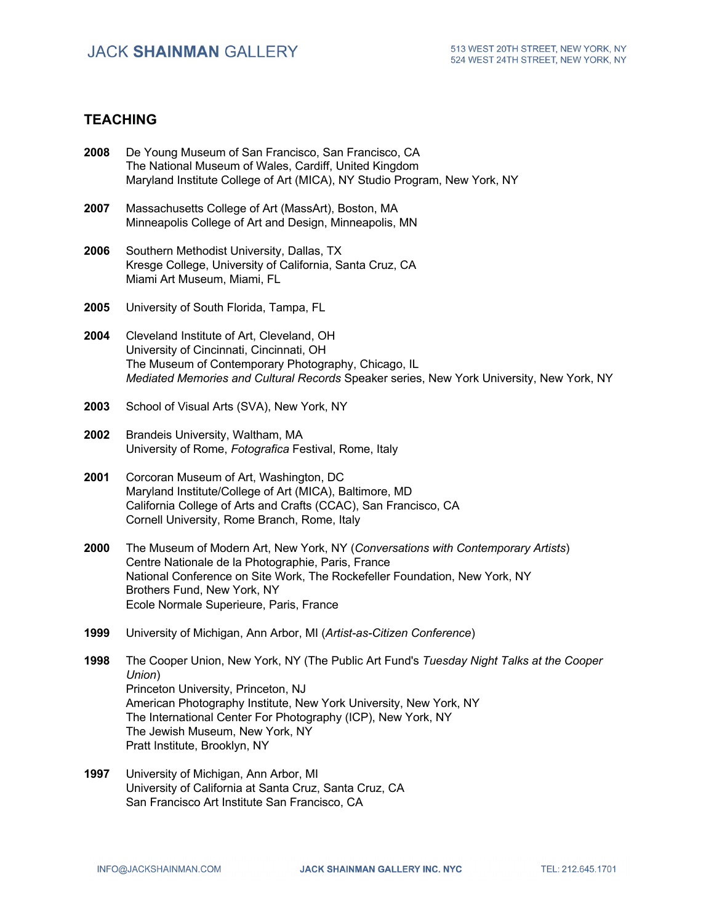# **TEACHING**

| 2008 | De Young Museum of San Francisco, San Francisco, CA<br>The National Museum of Wales, Cardiff, United Kingdom<br>Maryland Institute College of Art (MICA), NY Studio Program, New York, NY                                                                                                                                                         |
|------|---------------------------------------------------------------------------------------------------------------------------------------------------------------------------------------------------------------------------------------------------------------------------------------------------------------------------------------------------|
| 2007 | Massachusetts College of Art (MassArt), Boston, MA<br>Minneapolis College of Art and Design, Minneapolis, MN                                                                                                                                                                                                                                      |
| 2006 | Southern Methodist University, Dallas, TX<br>Kresge College, University of California, Santa Cruz, CA<br>Miami Art Museum, Miami, FL                                                                                                                                                                                                              |
| 2005 | University of South Florida, Tampa, FL                                                                                                                                                                                                                                                                                                            |
| 2004 | Cleveland Institute of Art, Cleveland, OH<br>University of Cincinnati, Cincinnati, OH<br>The Museum of Contemporary Photography, Chicago, IL<br>Mediated Memories and Cultural Records Speaker series, New York University, New York, NY                                                                                                          |
| 2003 | School of Visual Arts (SVA), New York, NY                                                                                                                                                                                                                                                                                                         |
| 2002 | Brandeis University, Waltham, MA<br>University of Rome, Fotografica Festival, Rome, Italy                                                                                                                                                                                                                                                         |
| 2001 | Corcoran Museum of Art, Washington, DC<br>Maryland Institute/College of Art (MICA), Baltimore, MD<br>California College of Arts and Crafts (CCAC), San Francisco, CA<br>Cornell University, Rome Branch, Rome, Italy                                                                                                                              |
| 2000 | The Museum of Modern Art, New York, NY (Conversations with Contemporary Artists)<br>Centre Nationale de la Photographie, Paris, France<br>National Conference on Site Work, The Rockefeller Foundation, New York, NY<br>Brothers Fund, New York, NY<br>Ecole Normale Superieure, Paris, France                                                    |
| 1999 | University of Michigan, Ann Arbor, MI (Artist-as-Citizen Conference)                                                                                                                                                                                                                                                                              |
| 1998 | The Cooper Union, New York, NY (The Public Art Fund's Tuesday Night Talks at the Cooper<br>Union)<br>Princeton University, Princeton, NJ<br>American Photography Institute, New York University, New York, NY<br>The International Center For Photography (ICP), New York, NY<br>The Jewish Museum, New York, NY<br>Pratt Institute, Brooklyn, NY |
| 1997 | University of Michigan, Ann Arbor, MI<br>University of California at Santa Cruz, Santa Cruz, CA<br>San Francisco Art Institute San Francisco, CA                                                                                                                                                                                                  |